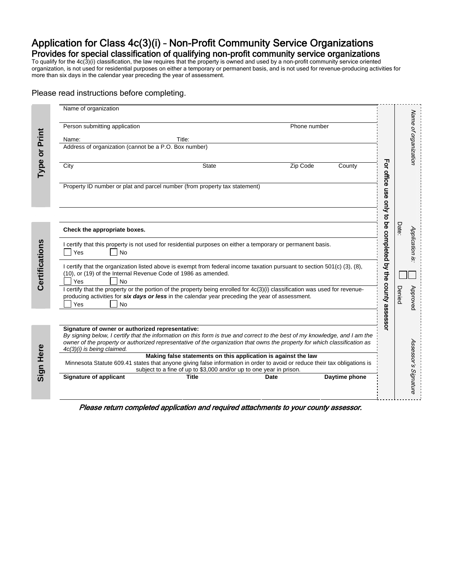# Application for Class 4c(3)(i) – Non-Profit Community Service Organizations Provides for special classification of qualifying non-profit community service organizations

To qualify for the 4c(3)(i) classification, the law requires that the property is owned and used by a non-profit community service oriented organization, is not used for residential purposes on either a temporary or permanent basis, and is not used for revenue-producing activities for more than six days in the calendar year preceding the year of assessment.

#### Please read instructions before completing.

| Person submitting application                                                                                                                                                                                                                                                                                                              |                                                                                                                                       | Phone number |               |                                                          |
|--------------------------------------------------------------------------------------------------------------------------------------------------------------------------------------------------------------------------------------------------------------------------------------------------------------------------------------------|---------------------------------------------------------------------------------------------------------------------------------------|--------------|---------------|----------------------------------------------------------|
| Name:                                                                                                                                                                                                                                                                                                                                      | Title:                                                                                                                                |              |               |                                                          |
| Address of organization (cannot be a P.O. Box number)                                                                                                                                                                                                                                                                                      |                                                                                                                                       |              |               |                                                          |
| City                                                                                                                                                                                                                                                                                                                                       | <b>State</b>                                                                                                                          | Zip Code     | County        | For                                                      |
| Property ID number or plat and parcel number (from property tax statement)                                                                                                                                                                                                                                                                 |                                                                                                                                       |              |               | office                                                   |
| Check the appropriate boxes.                                                                                                                                                                                                                                                                                                               |                                                                                                                                       |              |               | use only to be completed by the county assessor<br>Date: |
| I certify that this property is not used for residential purposes on either a temporary or permanent basis.<br>No<br>Yes                                                                                                                                                                                                                   |                                                                                                                                       |              |               |                                                          |
| I certify that the organization listed above is exempt from federal income taxation pursuant to section 501(c) (3), (8),<br>(10), or (19) of the Internal Revenue Code of 1986 as amended.<br>Yes<br><b>No</b>                                                                                                                             |                                                                                                                                       |              |               |                                                          |
| I certify that the property or the portion of the property being enrolled for 4c(3)(i) classification was used for revenue-<br>producing activities for six days or less in the calendar year preceding the year of assessment.<br>Yes<br>No                                                                                               |                                                                                                                                       |              |               | Denied                                                   |
|                                                                                                                                                                                                                                                                                                                                            |                                                                                                                                       |              |               |                                                          |
| Signature of owner or authorized representative:<br>By signing below, I certify that the information on this form is true and correct to the best of my knowledge, and I am the<br>owner of the property or authorized representative of the organization that owns the property for which classification as<br>4c(3)(i) is being claimed. |                                                                                                                                       |              |               |                                                          |
| Minnesota Statute 609.41 states that anyone giving false information in order to avoid or reduce their tax obligations is                                                                                                                                                                                                                  | Making false statements on this application is against the law<br>subject to a fine of up to \$3,000 and/or up to one year in prison. |              |               |                                                          |
| <b>Signature of applicant</b>                                                                                                                                                                                                                                                                                                              | <b>Title</b>                                                                                                                          | Date         | Daytime phone |                                                          |

Please return completed application and required attachments to your county assessor.